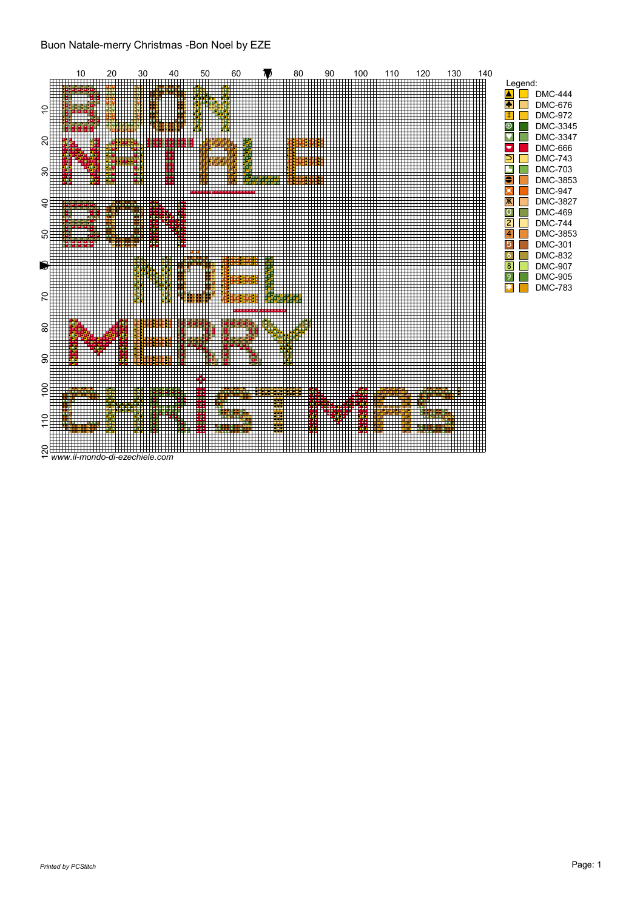